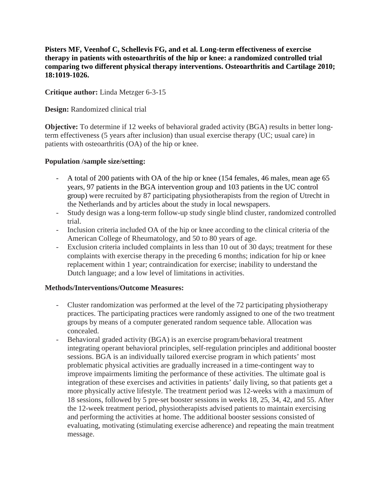**Pisters MF, Veenhof C, Schellevis FG, and et al. Long-term effectiveness of exercise therapy in patients with osteoarthritis of the hip or knee: a randomized controlled trial comparing two different physical therapy interventions. Osteoarthritis and Cartilage 2010; 18:1019-1026.**

### **Critique author:** Linda Metzger 6-3-15

**Design:** Randomized clinical trial

**Objective:** To determine if 12 weeks of behavioral graded activity (BGA) results in better longterm effectiveness (5 years after inclusion) than usual exercise therapy (UC; usual care) in patients with osteoarthritis (OA) of the hip or knee.

#### **Population /sample size/setting:**

- A total of 200 patients with OA of the hip or knee (154 females, 46 males, mean age 65 years, 97 patients in the BGA intervention group and 103 patients in the UC control group) were recruited by 87 participating physiotherapists from the region of Utrecht in the Netherlands and by articles about the study in local newspapers.
- Study design was a long-term follow-up study single blind cluster, randomized controlled trial.
- Inclusion criteria included OA of the hip or knee according to the clinical criteria of the American College of Rheumatology, and 50 to 80 years of age.
- Exclusion criteria included complaints in less than 10 out of 30 days; treatment for these complaints with exercise therapy in the preceding 6 months; indication for hip or knee replacement within 1 year; contraindication for exercise; inability to understand the Dutch language; and a low level of limitations in activities.

#### **Methods/Interventions/Outcome Measures:**

- Cluster randomization was performed at the level of the 72 participating physiotherapy practices. The participating practices were randomly assigned to one of the two treatment groups by means of a computer generated random sequence table. Allocation was concealed.
- Behavioral graded activity (BGA) is an exercise program/behavioral treatment integrating operant behavioral principles, self-regulation principles and additional booster sessions. BGA is an individually tailored exercise program in which patients' most problematic physical activities are gradually increased in a time-contingent way to improve impairments limiting the performance of these activities. The ultimate goal is integration of these exercises and activities in patients' daily living, so that patients get a more physically active lifestyle. The treatment period was 12-weeks with a maximum of 18 sessions, followed by 5 pre-set booster sessions in weeks 18, 25, 34, 42, and 55. After the 12-week treatment period, physiotherapists advised patients to maintain exercising and performing the activities at home. The additional booster sessions consisted of evaluating, motivating (stimulating exercise adherence) and repeating the main treatment message.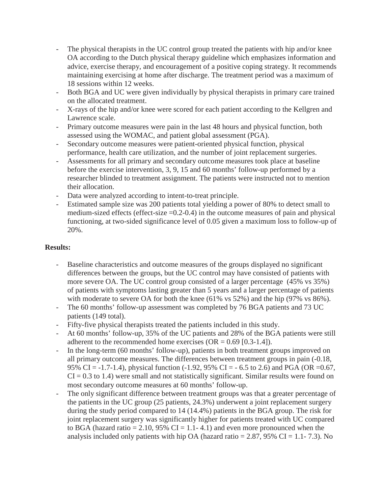- The physical therapists in the UC control group treated the patients with hip and/or knee OA according to the Dutch physical therapy guideline which emphasizes information and advice, exercise therapy, and encouragement of a positive coping strategy. It recommends maintaining exercising at home after discharge. The treatment period was a maximum of 18 sessions within 12 weeks.
- Both BGA and UC were given individually by physical therapists in primary care trained on the allocated treatment.
- X-rays of the hip and/or knee were scored for each patient according to the Kellgren and Lawrence scale.
- Primary outcome measures were pain in the last 48 hours and physical function, both assessed using the WOMAC, and patient global assessment (PGA).
- Secondary outcome measures were patient-oriented physical function, physical performance, health care utilization, and the number of joint replacement surgeries.
- Assessments for all primary and secondary outcome measures took place at baseline before the exercise intervention, 3, 9, 15 and 60 months' follow-up performed by a researcher blinded to treatment assignment. The patients were instructed not to mention their allocation.
- Data were analyzed according to intent-to-treat principle.
- Estimated sample size was 200 patients total yielding a power of 80% to detect small to medium-sized effects (effect-size  $=0.2-0.4$ ) in the outcome measures of pain and physical functioning, at two-sided significance level of 0.05 given a maximum loss to follow-up of 20%.

### **Results:**

- Baseline characteristics and outcome measures of the groups displayed no significant differences between the groups, but the UC control may have consisted of patients with more severe OA. The UC control group consisted of a larger percentage (45% vs 35%) of patients with symptoms lasting greater than 5 years and a larger percentage of patients with moderate to severe OA for both the knee (61% vs 52%) and the hip (97% vs 86%).
- The 60 months' follow-up assessment was completed by 76 BGA patients and 73 UC patients (149 total).
- Fifty-five physical therapists treated the patients included in this study.
- At 60 months' follow-up, 35% of the UC patients and 28% of the BGA patients were still adherent to the recommended home exercises  $(OR = 0.69 [0.3-1.4]).$
- In the long-term (60 months' follow-up), patients in both treatment groups improved on all primary outcome measures. The differences between treatment groups in pain (-0.18, 95% CI = -1.7-1.4), physical function (-1.92, 95% CI = - 6.5 to 2.6) and PGA (OR = 0.67,  $CI = 0.3$  to 1.4) were small and not statistically significant. Similar results were found on most secondary outcome measures at 60 months' follow-up.
- The only significant difference between treatment groups was that a greater percentage of the patients in the UC group (25 patients, 24.3%) underwent a joint replacement surgery during the study period compared to 14 (14.4%) patients in the BGA group. The risk for joint replacement surgery was significantly higher for patients treated with UC compared to BGA (hazard ratio = 2.10, 95% CI = 1.1-4.1) and even more pronounced when the analysis included only patients with hip OA (hazard ratio =  $2.87$ ,  $95\%$  CI = 1.1-7.3). No